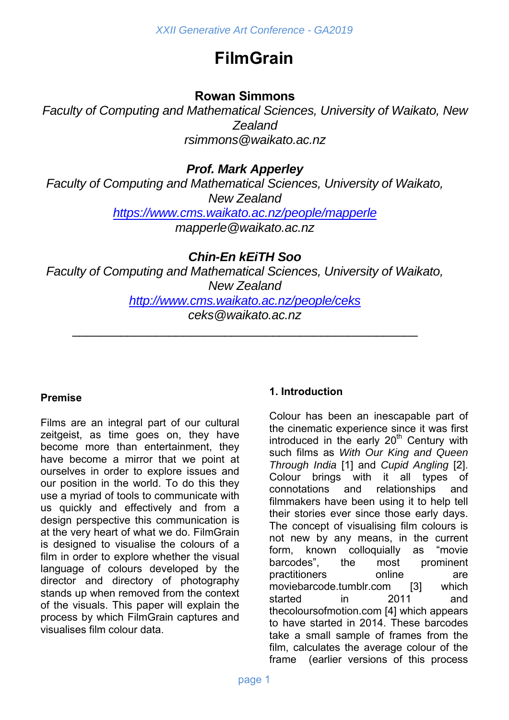# **FilmGrain**

# **Rowan Simmons**

*Faculty of Computing and Mathematical Sciences, University of Waikato, New Zealand rsimmons@waikato.ac.nz* 

*Prof. Mark Apperley* 

*Faculty of Computing and Mathematical Sciences, University of Waikato, New Zealand https://www.cms.waikato.ac.nz/people/mapperle*

*mapperle@waikato.ac.nz* 

*Chin-En kEiTH Soo* 

*Faculty of Computing and Mathematical Sciences, University of Waikato, New Zealand http://www.cms.waikato.ac.nz/people/ceks ceks@waikato.ac.nz* 

\_\_\_\_\_\_\_\_\_\_\_\_\_\_\_\_\_\_\_\_\_\_\_\_\_\_\_\_\_\_\_\_\_\_\_\_\_\_\_\_\_\_\_\_\_\_\_\_\_\_

# **Premise**

Films are an integral part of our cultural zeitgeist, as time goes on, they have become more than entertainment, they have become a mirror that we point at ourselves in order to explore issues and our position in the world. To do this they use a myriad of tools to communicate with us quickly and effectively and from a design perspective this communication is at the very heart of what we do. FilmGrain is designed to visualise the colours of a film in order to explore whether the visual language of colours developed by the director and directory of photography stands up when removed from the context of the visuals. This paper will explain the process by which FilmGrain captures and visualises film colour data.

# **1. Introduction**

Colour has been an inescapable part of the cinematic experience since it was first introduced in the early  $20<sup>th</sup>$  Century with such films as *With Our King and Queen Through India* [1] and *Cupid Angling* [2]. Colour brings with it all types of connotations and relationships and filmmakers have been using it to help tell their stories ever since those early days. The concept of visualising film colours is not new by any means, in the current form, known colloquially as "movie barcodes", the most prominent practitioners online are moviebarcode.tumblr.com [3] which started in 2011 and thecoloursofmotion.com [4] which appears to have started in 2014. These barcodes take a small sample of frames from the film, calculates the average colour of the frame (earlier versions of this process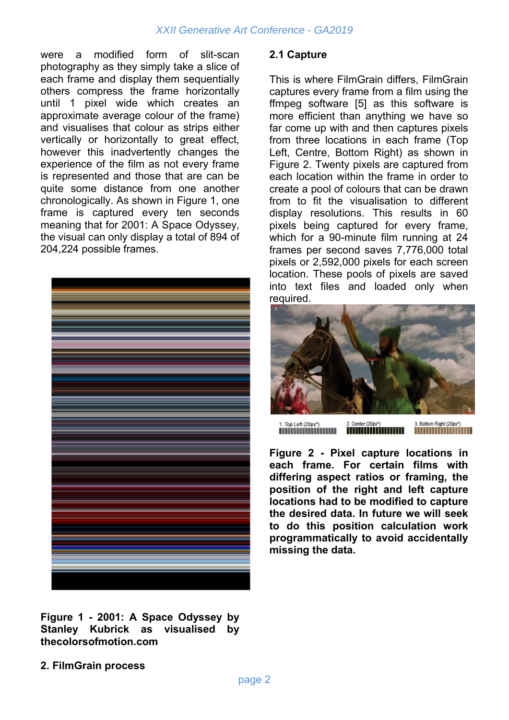## *XXII Generative Art Conference - GA2019*

were a modified form of slit-scan photography as they simply take a slice of each frame and display them sequentially others compress the frame horizontally until 1 pixel wide which creates an approximate average colour of the frame) and visualises that colour as strips either vertically or horizontally to great effect, however this inadvertently changes the experience of the film as not every frame is represented and those that are can be quite some distance from one another chronologically. As shown in Figure 1, one frame is captured every ten seconds meaning that for 2001: A Space Odyssey, the visual can only display a total of 894 of 204,224 possible frames.



### **Figure 1 - 2001: A Space Odyssey by Stanley Kubrick as visualised by thecolorsofmotion.com**

## **2. FilmGrain process**

#### **2.1 Capture**

This is where FilmGrain differs, FilmGrain captures every frame from a film using the ffmpeg software [5] as this software is more efficient than anything we have so far come up with and then captures pixels from three locations in each frame (Top Left, Centre, Bottom Right) as shown in Figure 2. Twenty pixels are captured from each location within the frame in order to create a pool of colours that can be drawn from to fit the visualisation to different display resolutions. This results in 60 pixels being captured for every frame, which for a 90-minute film running at 24 frames per second saves 7,776,000 total pixels or 2,592,000 pixels for each screen location. These pools of pixels are saved into text files and loaded only when required.



2. Center (20px\*) 3. Bottom Right (20px\*) 1. Top Left (20px\*)<br>**ALLER LEFT DE LA CONTENTIFICAT** 

**Figure 2 - Pixel capture locations in each frame. For certain films with differing aspect ratios or framing, the position of the right and left capture locations had to be modified to capture the desired data. In future we will seek to do this position calculation work programmatically to avoid accidentally missing the data.**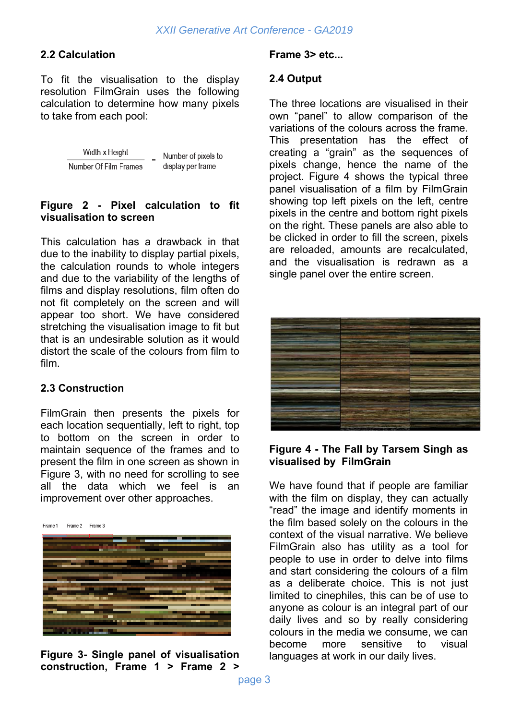## **2.2 Calculation**

To fit the visualisation to the display resolution FilmGrain uses the following calculation to determine how many pixels to take from each pool:

> Width x Height Number of pixels to Number Of Film Frames display per frame

#### **Figure 2 - Pixel calculation to fit visualisation to screen**

This calculation has a drawback in that due to the inability to display partial pixels, the calculation rounds to whole integers and due to the variability of the lengths of films and display resolutions, film often do not fit completely on the screen and will appear too short. We have considered stretching the visualisation image to fit but that is an undesirable solution as it would distort the scale of the colours from film to film.

#### **2.3 Construction**

FilmGrain then presents the pixels for each location sequentially, left to right, top to bottom on the screen in order to maintain sequence of the frames and to present the film in one screen as shown in Figure 3, with no need for scrolling to see all the data which we feel is an improvement over other approaches.

Frame 1 Frame 2 Frame 3



**Figure 3- Single panel of visualisation construction, Frame 1 > Frame 2 >** 

#### **Frame 3> etc...**

#### **2.4 Output**

The three locations are visualised in their own "panel" to allow comparison of the variations of the colours across the frame. This presentation has the effect of creating a "grain" as the sequences of pixels change, hence the name of the project. Figure 4 shows the typical three panel visualisation of a film by FilmGrain showing top left pixels on the left, centre pixels in the centre and bottom right pixels on the right. These panels are also able to be clicked in order to fill the screen, pixels are reloaded, amounts are recalculated, and the visualisation is redrawn as a single panel over the entire screen.



#### **Figure 4 - The Fall by Tarsem Singh as visualised by FilmGrain**

We have found that if people are familiar with the film on display, they can actually "read" the image and identify moments in the film based solely on the colours in the context of the visual narrative. We believe FilmGrain also has utility as a tool for people to use in order to delve into films and start considering the colours of a film as a deliberate choice. This is not just limited to cinephiles, this can be of use to anyone as colour is an integral part of our daily lives and so by really considering colours in the media we consume, we can become more sensitive to visual languages at work in our daily lives.